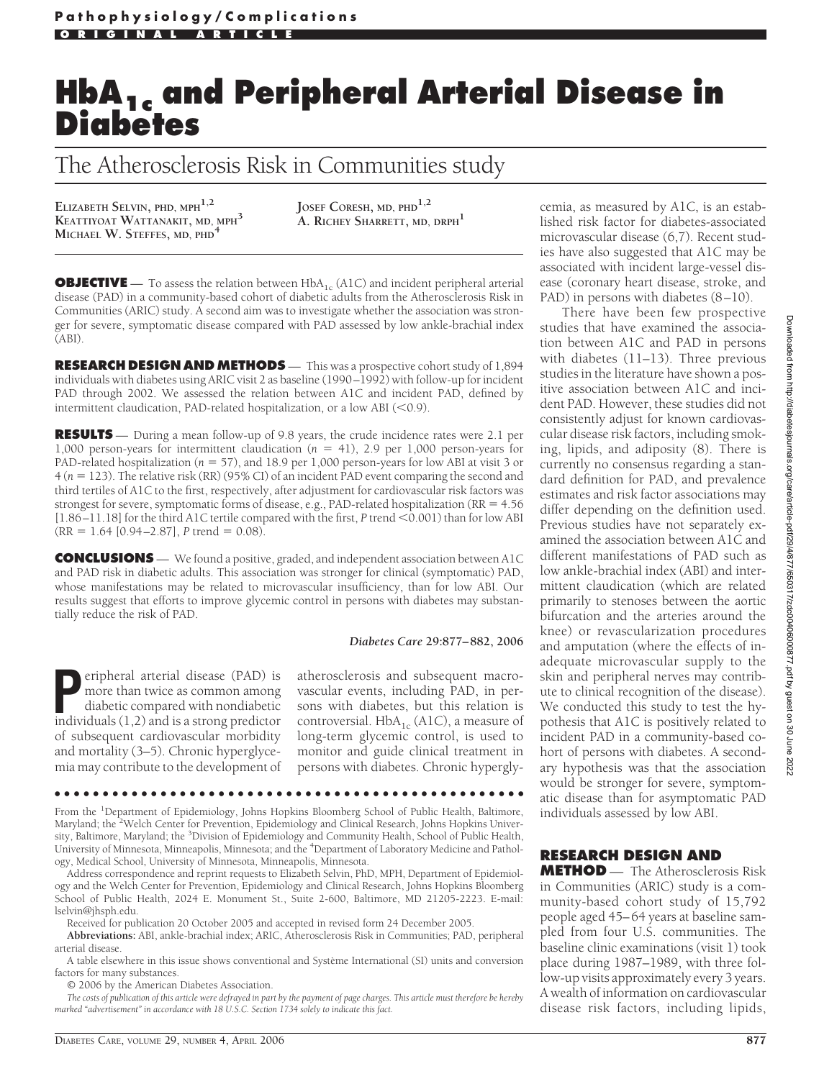# **HbA1c and Peripheral Arterial Disease in Diabetes**

The Atherosclerosis Risk in Communities study

**ELIZABETH SELVIN, PHD, MPH1,2 KEATTIYOAT WATTANAKIT, MD, MPH<sup>3</sup> MICHAEL W. STEFFES, MD, PHD<sup>4</sup>**

**JOSEF CORESH, MD, PHD1,2 A. RICHEY SHARRETT, MD, DRPH<sup>1</sup>**

**OBJECTIVE** — To assess the relation between HbA<sub>1c</sub> (A1C) and incident peripheral arterial disease (PAD) in a community-based cohort of diabetic adults from the Atherosclerosis Risk in Communities (ARIC) study. A second aim was to investigate whether the association was stronger for severe, symptomatic disease compared with PAD assessed by low ankle-brachial index (ABI).

**RESEARCH DESIGN AND METHODS** — This was a prospective cohort study of 1,894 individuals with diabetes using ARIC visit 2 as baseline (1990–1992) with follow-up for incident PAD through 2002. We assessed the relation between A1C and incident PAD, defined by intermittent claudication, PAD-related hospitalization, or a low ABI  $(<$ 0.9).

**RESULTS** — During a mean follow-up of 9.8 years, the crude incidence rates were 2.1 per 1,000 person-years for intermittent claudication  $(n = 41)$ , 2.9 per 1,000 person-years for PAD-related hospitalization ( $n = 57$ ), and 18.9 per 1,000 person-years for low ABI at visit 3 or 4 (*n* - 123). The relative risk (RR) (95% CI) of an incident PAD event comparing the second and third tertiles of A1C to the first, respectively, after adjustment for cardiovascular risk factors was strongest for severe, symptomatic forms of disease, e.g., PAD-related hospitalization (RR = 4.56) [1.86–11.18] for the third A1C tertile compared with the first, *P* trend <0.001) than for low ABI  $(RR = 1.64 [0.94 - 2.87], P trend = 0.08).$ 

**CONCLUSIONS** — We found a positive, graded, and independent association between A1C and PAD risk in diabetic adults. This association was stronger for clinical (symptomatic) PAD, whose manifestations may be related to microvascular insufficiency, than for low ABI. Our results suggest that efforts to improve glycemic control in persons with diabetes may substantially reduce the risk of PAD.

#### *Diabetes Care* **29:877– 882, 2006**

**Peripheral arterial disease (PAD) is<br>more than twice as common among<br>diabetic compared with nondiabetic<br>individuals (1 2) and is a strong predictor** more than twice as common among diabetic compared with nondiabetic individuals (1,2) and is a strong predictor of subsequent cardiovascular morbidity and mortality (3–5). Chronic hyperglycemia may contribute to the development of atherosclerosis and subsequent macrovascular events, including PAD, in persons with diabetes, but this relation is controversial.  $HbA_{1c}$  (A1C), a measure of long-term glycemic control, is used to monitor and guide clinical treatment in persons with diabetes. Chronic hypergly-

●●●●●●●●●●●●●●●●●●●●●●●●●●●●●●●●●●●●●●●●●●●●●●●●●

From the <sup>1</sup>Department of Epidemiology, Johns Hopkins Bloomberg School of Public Health, Baltimore, Maryland; the <sup>2</sup>Welch Center for Prevention, Epidemiology and Clinical Research, Johns Hopkins University, Baltimore, Maryland; the <sup>3</sup>Division of Epidemiology and Community Health, School of Public Health, University of Minnesota, Minneapolis, Minnesota; and the <sup>4</sup> Department of Laboratory Medicine and Pathology, Medical School, University of Minnesota, Minneapolis, Minnesota.

Address correspondence and reprint requests to Elizabeth Selvin, PhD, MPH, Department of Epidemiology and the Welch Center for Prevention, Epidemiology and Clinical Research, Johns Hopkins Bloomberg School of Public Health, 2024 E. Monument St., Suite 2-600, Baltimore, MD 21205-2223. E-mail: lselvin@jhsph.edu.

Received for publication 20 October 2005 and accepted in revised form 24 December 2005.

**Abbreviations:** ABI, ankle-brachial index; ARIC, Atherosclerosis Risk in Communities; PAD, peripheral arterial disease.

A table elsewhere in this issue shows conventional and Système International (SI) units and conversion factors for many substances.

© 2006 by the American Diabetes Association.

*The costs of publication of this article were defrayed in part by the payment of page charges. This article must therefore be hereby marked "advertisement" in accordance with 18 U.S.C. Section 1734 solely to indicate this fact.*

cemia, as measured by A1C, is an established risk factor for diabetes-associated microvascular disease (6,7). Recent studies have also suggested that A1C may be associated with incident large-vessel disease (coronary heart disease, stroke, and PAD) in persons with diabetes (8–10).

There have been few prospective studies that have examined the association between A1C and PAD in persons with diabetes (11–13). Three previous studies in the literature have shown a positive association between A1C and incident PAD. However, these studies did not consistently adjust for known cardiovascular disease risk factors, including smoking, lipids, and adiposity (8). There is currently no consensus regarding a standard definition for PAD, and prevalence estimates and risk factor associations may differ depending on the definition used. Previous studies have not separately examined the association between A1C and different manifestations of PAD such as low ankle-brachial index (ABI) and intermittent claudication (which are related primarily to stenoses between the aortic bifurcation and the arteries around the knee) or revascularization procedures and amputation (where the effects of inadequate microvascular supply to the skin and peripheral nerves may contribute to clinical recognition of the disease). We conducted this study to test the hypothesis that A1C is positively related to incident PAD in a community-based cohort of persons with diabetes. A secondary hypothesis was that the association would be stronger for severe, symptomatic disease than for asymptomatic PAD individuals assessed by low ABI.

# **RESEARCH DESIGN AND**

**METHOD** — The Atherosclerosis Risk in Communities (ARIC) study is a community-based cohort study of 15,792 people aged 45–64 years at baseline sampled from four U.S. communities. The baseline clinic examinations (visit 1) took place during 1987–1989, with three follow-up visits approximately every 3 years. A wealth of information on cardiovascular disease risk factors, including lipids,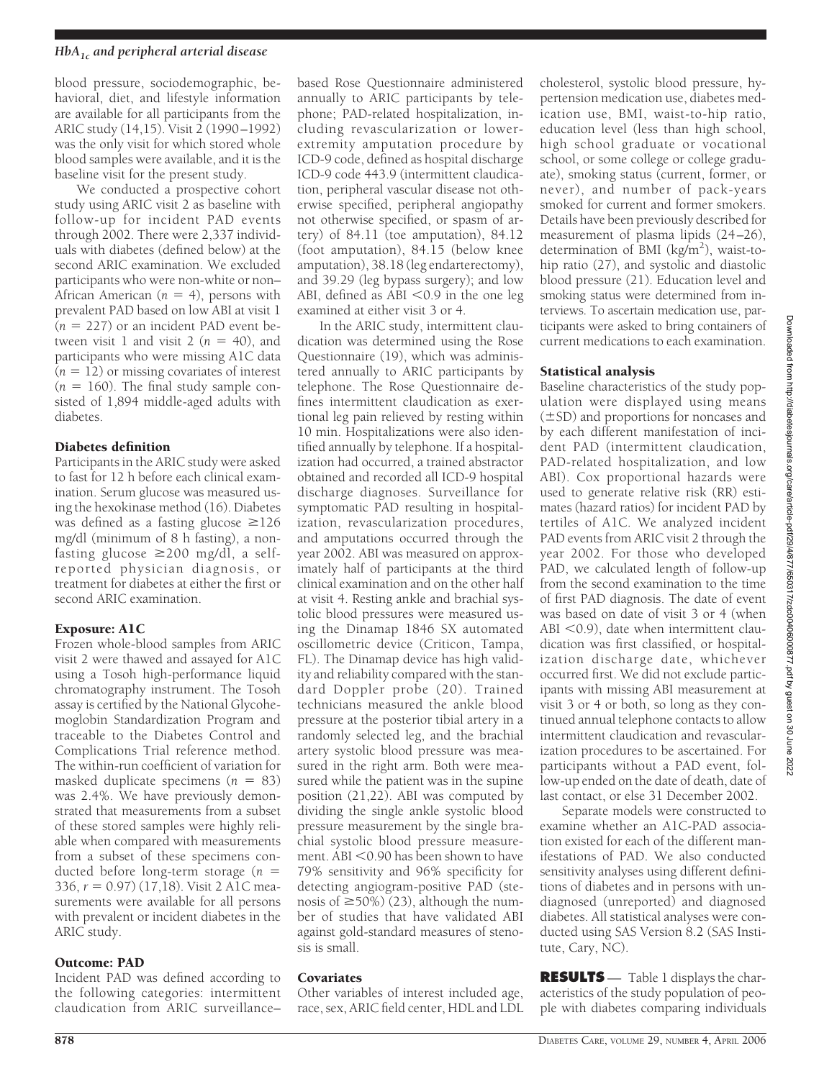blood pressure, sociodemographic, behavioral, diet, and lifestyle information are available for all participants from the ARIC study (14,15). Visit 2 (1990–1992) was the only visit for which stored whole blood samples were available, and it is the baseline visit for the present study.

We conducted a prospective cohort study using ARIC visit 2 as baseline with follow-up for incident PAD events through 2002. There were 2,337 individuals with diabetes (defined below) at the second ARIC examination. We excluded participants who were non-white or non– African American  $(n = 4)$ , persons with prevalent PAD based on low ABI at visit 1  $(n = 227)$  or an incident PAD event between visit 1 and visit 2  $(n = 40)$ , and participants who were missing A1C data  $(n = 12)$  or missing covariates of interest  $(n = 160)$ . The final study sample consisted of 1,894 middle-aged adults with diabetes.

#### Diabetes definition

Participants in the ARIC study were asked to fast for 12 h before each clinical examination. Serum glucose was measured using the hexokinase method (16). Diabetes was defined as a fasting glucose  $\geq$ 126 mg/dl (minimum of 8 h fasting), a nonfasting glucose  $\geq$ 200 mg/dl, a selfreported physician diagnosis, or treatment for diabetes at either the first or second ARIC examination.

#### Exposure: A1C

Frozen whole-blood samples from ARIC visit 2 were thawed and assayed for A1C using a Tosoh high-performance liquid chromatography instrument. The Tosoh assay is certified by the National Glycohemoglobin Standardization Program and traceable to the Diabetes Control and Complications Trial reference method. The within-run coefficient of variation for masked duplicate specimens (*n* = 83) was 2.4%. We have previously demonstrated that measurements from a subset of these stored samples were highly reliable when compared with measurements from a subset of these specimens conducted before long-term storage (*n* - 336, *r* - 0.97) (17,18). Visit 2 A1C measurements were available for all persons with prevalent or incident diabetes in the ARIC study.

#### Outcome: PAD

Incident PAD was defined according to the following categories: intermittent claudication from ARIC surveillance–

based Rose Questionnaire administered annually to ARIC participants by telephone; PAD-related hospitalization, including revascularization or lowerextremity amputation procedure by ICD-9 code, defined as hospital discharge ICD-9 code 443.9 (intermittent claudication, peripheral vascular disease not otherwise specified, peripheral angiopathy not otherwise specified, or spasm of artery) of 84.11 (toe amputation), 84.12 (foot amputation), 84.15 (below knee amputation), 38.18 (leg endarterectomy), and 39.29 (leg bypass surgery); and low ABI, defined as ABI  $<$  0.9 in the one leg examined at either visit 3 or 4.

In the ARIC study, intermittent claudication was determined using the Rose Questionnaire (19), which was administered annually to ARIC participants by telephone. The Rose Questionnaire defines intermittent claudication as exertional leg pain relieved by resting within 10 min. Hospitalizations were also identified annually by telephone. If a hospitalization had occurred, a trained abstractor obtained and recorded all ICD-9 hospital discharge diagnoses. Surveillance for symptomatic PAD resulting in hospitalization, revascularization procedures, and amputations occurred through the year 2002. ABI was measured on approximately half of participants at the third clinical examination and on the other half at visit 4. Resting ankle and brachial systolic blood pressures were measured using the Dinamap 1846 SX automated oscillometric device (Criticon, Tampa, FL). The Dinamap device has high validity and reliability compared with the standard Doppler probe (20). Trained technicians measured the ankle blood pressure at the posterior tibial artery in a randomly selected leg, and the brachial artery systolic blood pressure was measured in the right arm. Both were measured while the patient was in the supine position (21,22). ABI was computed by dividing the single ankle systolic blood pressure measurement by the single brachial systolic blood pressure measurement. ABI  $<$  0.90 has been shown to have 79% sensitivity and 96% specificity for detecting angiogram-positive PAD (stenosis of  $\geq$ 50%) (23), although the number of studies that have validated ABI against gold-standard measures of stenosis is small.

#### Covariates

Other variables of interest included age, race, sex, ARIC field center, HDL and LDL cholesterol, systolic blood pressure, hypertension medication use, diabetes medication use, BMI, waist-to-hip ratio, education level (less than high school, high school graduate or vocational school, or some college or college graduate), smoking status (current, former, or never), and number of pack-years smoked for current and former smokers. Details have been previously described for measurement of plasma lipids (24–26), determination of BMI (kg/m<sup>2</sup>), waist-tohip ratio (27), and systolic and diastolic blood pressure (21). Education level and smoking status were determined from interviews. To ascertain medication use, participants were asked to bring containers of current medications to each examination.

#### Statistical analysis

Baseline characteristics of the study population were displayed using means  $(\pm$ SD) and proportions for noncases and by each different manifestation of incident PAD (intermittent claudication, PAD-related hospitalization, and low ABI). Cox proportional hazards were used to generate relative risk (RR) estimates (hazard ratios) for incident PAD by tertiles of A1C. We analyzed incident PAD events from ARIC visit 2 through the year 2002. For those who developed PAD, we calculated length of follow-up from the second examination to the time of first PAD diagnosis. The date of event was based on date of visit 3 or 4 (when ABI  $<$  0.9), date when intermittent claudication was first classified, or hospitalization discharge date, whichever occurred first. We did not exclude participants with missing ABI measurement at visit 3 or 4 or both, so long as they continued annual telephone contacts to allow intermittent claudication and revascularization procedures to be ascertained. For participants without a PAD event, follow-up ended on the date of death, date of last contact, or else 31 December 2002.

Separate models were constructed to examine whether an A1C-PAD association existed for each of the different manifestations of PAD. We also conducted sensitivity analyses using different definitions of diabetes and in persons with undiagnosed (unreported) and diagnosed diabetes. All statistical analyses were conducted using SAS Version 8.2 (SAS Institute, Cary, NC).

**RESULTS** — Table 1 displays the characteristics of the study population of people with diabetes comparing individuals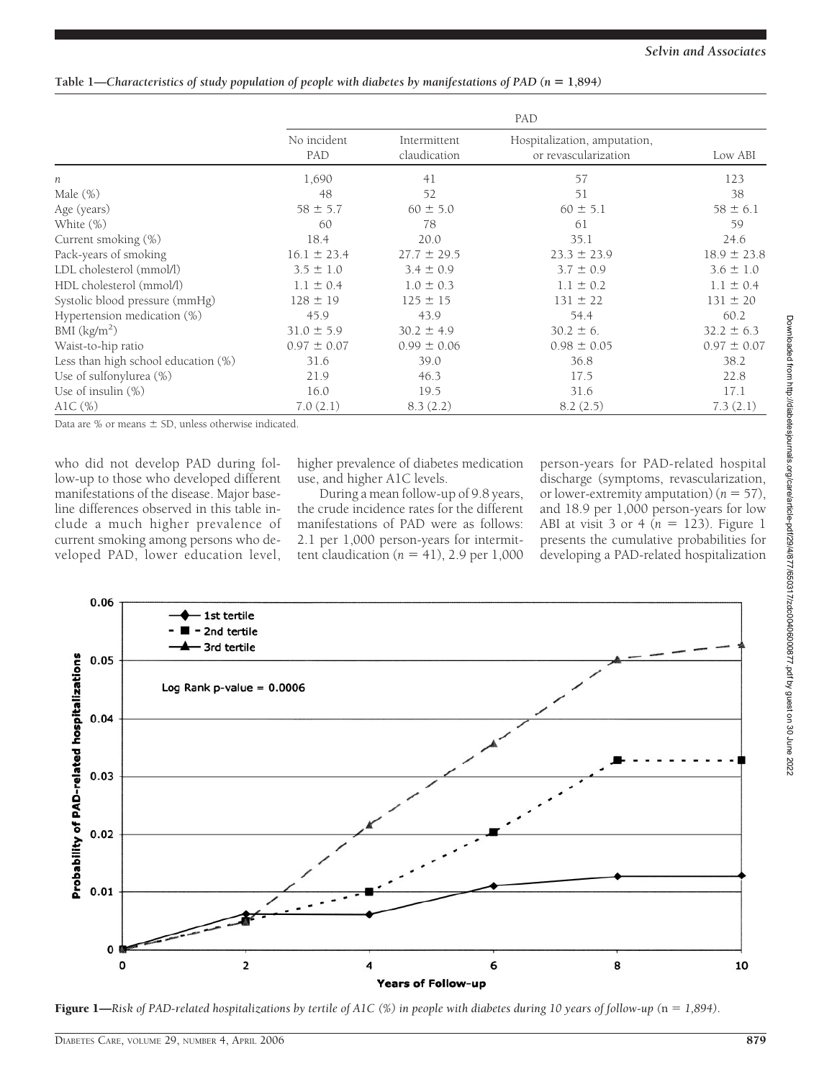### **Table 1—***Characteristics of study population of people with diabetes by manifestations of PAD (n* **1,894***)*

|                                     | PAD                |                              |                                                      |                 |  |  |
|-------------------------------------|--------------------|------------------------------|------------------------------------------------------|-----------------|--|--|
|                                     | No incident<br>PAD | Intermittent<br>claudication | Hospitalization, amputation,<br>or revascularization | Low ABI         |  |  |
| n                                   | 1,690              | 41                           | 57                                                   | 123             |  |  |
| Male $(\%)$                         | 48                 | 52                           | 51                                                   | 38              |  |  |
| Age (years)                         | $58 \pm 5.7$       | $60 \pm 5.0$                 | $60 \pm 5.1$                                         | $58 \pm 6.1$    |  |  |
| White $(\%)$                        | 60                 | 78                           | 61                                                   | 59              |  |  |
| Current smoking (%)                 | 18.4               | 20.0                         | 35.1                                                 | 24.6            |  |  |
| Pack-years of smoking               | $16.1 \pm 23.4$    | $27.7 \pm 29.5$              | $23.3 \pm 23.9$                                      | $18.9 \pm 23.8$ |  |  |
| LDL cholesterol (mmol/l)            | $3.5 \pm 1.0$      | $3.4 \pm 0.9$                | $3.7 \pm 0.9$                                        | $3.6 \pm 1.0$   |  |  |
| HDL cholesterol (mmol/l)            | $1.1 \pm 0.4$      | $1.0 \pm 0.3$                | $1.1 \pm 0.2$                                        | $1.1 \pm 0.4$   |  |  |
| Systolic blood pressure (mmHg)      | $128 \pm 19$       | $125 \pm 15$                 | $131 \pm 22$                                         | $131 \pm 20$    |  |  |
| Hypertension medication (%)         | 45.9               | 43.9                         | 54.4                                                 | 60.2            |  |  |
| BMI $(kg/m2)$                       | $31.0 \pm 5.9$     | $30.2 \pm 4.9$               | $30.2 \pm 6$ .                                       | $32.2 \pm 6.3$  |  |  |
| Waist-to-hip ratio                  | $0.97 \pm 0.07$    | $0.99 \pm 0.06$              | $0.98 \pm 0.05$                                      | $0.97 \pm 0.07$ |  |  |
| Less than high school education (%) | 31.6               | 39.0                         | 36.8                                                 | 38.2            |  |  |
| Use of sulfonylurea (%)             | 21.9               | 46.3                         | 17.5                                                 | 22.8            |  |  |
| Use of insulin $(\%)$               | 16.0               | 19.5                         | 31.6                                                 | 17.1            |  |  |
| AlC $(\%)$                          | 7.0(2.1)           | 8.3(2.2)                     | 8.2(2.5)                                             | 7.3(2.1)        |  |  |

Data are  $%$  or means  $\pm$  SD, unless otherwise indicated.

who did not develop PAD during follow-up to those who developed different manifestations of the disease. Major baseline differences observed in this table include a much higher prevalence of current smoking among persons who developed PAD, lower education level,

higher prevalence of diabetes medication use, and higher A1C levels.

During a mean follow-up of 9.8 years, the crude incidence rates for the different manifestations of PAD were as follows: 2.1 per 1,000 person-years for intermittent claudication  $(n = 41)$ , 2.9 per  $1,000$ 

person-years for PAD-related hospital discharge (symptoms, revascularization, or lower-extremity amputation)  $(n = 57)$ , and 18.9 per 1,000 person-years for low ABI at visit  $3$  or  $4(n = 123)$ . Figure 1 presents the cumulative probabilities for developing a PAD-related hospitalization



**Figure 1—**Risk of PAD-related hospitalizations by tertile of A1C (%) in people with diabetes during 10 years of follow-up (n = 1,894).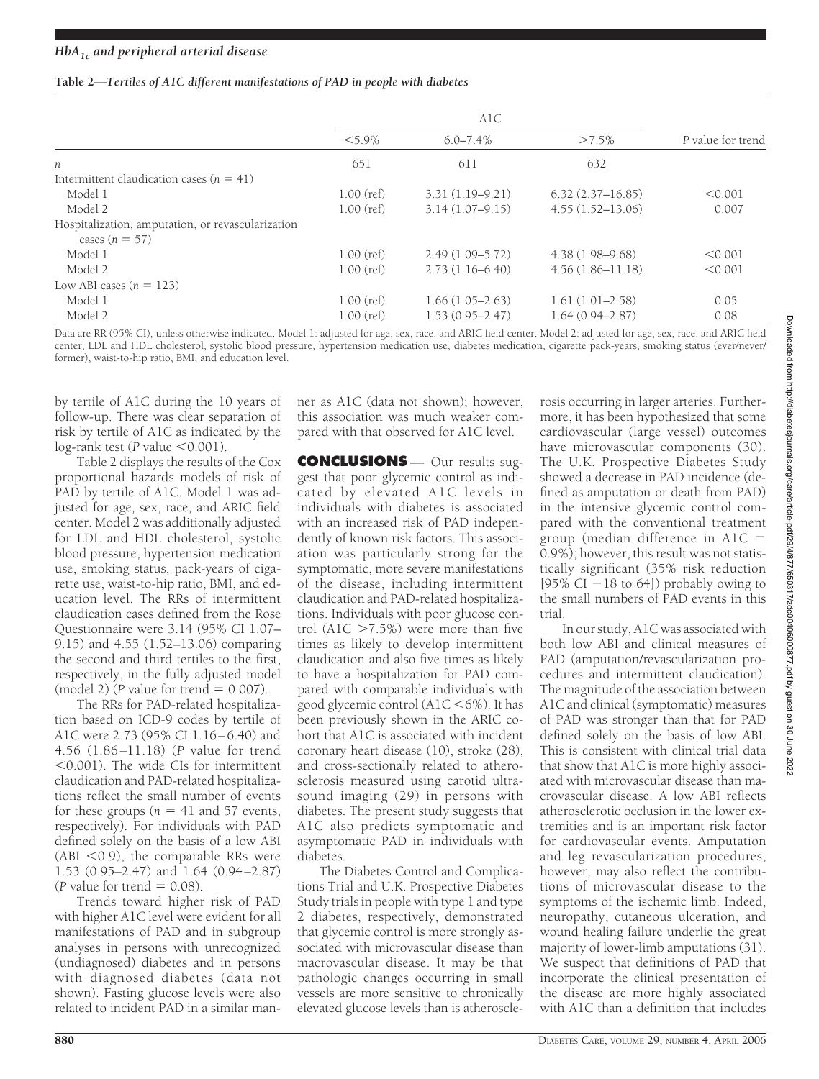| Table 2-Tertiles of A1C different manifestations of PAD in people with diabetes |  |  |
|---------------------------------------------------------------------------------|--|--|
|                                                                                 |  |  |

|                                                                       | $< 5.9\%$    | $6.0 - 7.4\%$       | $>7.5\%$             | P value for trend |  |
|-----------------------------------------------------------------------|--------------|---------------------|----------------------|-------------------|--|
| п                                                                     | 651          | 611                 | 632                  |                   |  |
| Intermittent claudication cases ( $n = 41$ )                          |              |                     |                      |                   |  |
| Model 1                                                               | $1.00$ (ref) | $3.31(1.19-9.21)$   | $6.32(2.37 - 16.85)$ | < 0.001           |  |
| Model 2                                                               | $1.00$ (ref) | $3.14(1.07-9.15)$   | $4.55(1.52 - 13.06)$ | 0.007             |  |
| Hospitalization, amputation, or revascularization<br>cases $(n = 57)$ |              |                     |                      |                   |  |
| Model 1                                                               | $1.00$ (ref) | $2.49(1.09 - 5.72)$ | $4.38(1.98 - 9.68)$  | < 0.001           |  |
| Model 2                                                               | $1.00$ (ref) | $2.73(1.16-6.40)$   | $4.56(1.86 - 11.18)$ | < 0.001           |  |
| Low ABI cases $(n = 123)$                                             |              |                     |                      |                   |  |
| Model 1                                                               | $1.00$ (ref) | $1.66(1.05-2.63)$   | $1.61(1.01-2.58)$    | 0.05              |  |
| Model 2                                                               | $1.00$ (ref) | $1.53(0.95 - 2.47)$ | $1.64(0.94 - 2.87)$  | 0.08              |  |

Data are RR (95% CI), unless otherwise indicated. Model 1: adjusted for age, sex, race, and ARIC field center. Model 2: adjusted for age, sex, race, and ARIC field center, LDL and HDL cholesterol, systolic blood pressure, hypertension medication use, diabetes medication, cigarette pack-years, smoking status (ever/never/ former), waist-to-hip ratio, BMI, and education level.

by tertile of A1C during the 10 years of follow-up. There was clear separation of risk by tertile of A1C as indicated by the log-rank test ( $P$  value  $\leq 0.001$ ).

Table 2 displays the results of the Cox proportional hazards models of risk of PAD by tertile of A1C. Model 1 was adjusted for age, sex, race, and ARIC field center. Model 2 was additionally adjusted for LDL and HDL cholesterol, systolic blood pressure, hypertension medication use, smoking status, pack-years of cigarette use, waist-to-hip ratio, BMI, and education level. The RRs of intermittent claudication cases defined from the Rose Questionnaire were 3.14 (95% CI 1.07– 9.15) and 4.55 (1.52–13.06) comparing the second and third tertiles to the first, respectively, in the fully adjusted model (model 2) ( $P$  value for trend  $= 0.007$ ).

The RRs for PAD-related hospitalization based on ICD-9 codes by tertile of A1C were 2.73 (95% CI 1.16–6.40) and 4.56 (1.86–11.18) (*P* value for trend  $0.001$ ). The wide CIs for intermittent claudication and PAD-related hospitalizations reflect the small number of events for these groups  $(n = 41 \text{ and } 57 \text{ events},$ respectively). For individuals with PAD defined solely on the basis of a low ABI  $(ABI < 0.9)$ , the comparable RRs were 1.53 (0.95–2.47) and 1.64 (0.94–2.87) (*P* value for trend  $= 0.08$ ).

Trends toward higher risk of PAD with higher A1C level were evident for all manifestations of PAD and in subgroup analyses in persons with unrecognized (undiagnosed) diabetes and in persons with diagnosed diabetes (data not shown). Fasting glucose levels were also related to incident PAD in a similar man-

ner as A1C (data not shown); however, this association was much weaker compared with that observed for A1C level.

**CONCLUSIONS** — Our results suggest that poor glycemic control as indicated by elevated A1C levels in individuals with diabetes is associated with an increased risk of PAD independently of known risk factors. This association was particularly strong for the symptomatic, more severe manifestations of the disease, including intermittent claudication and PAD-related hospitalizations. Individuals with poor glucose control (A1C  $>7.5\%$ ) were more than five times as likely to develop intermittent claudication and also five times as likely to have a hospitalization for PAD compared with comparable individuals with good glycemic control  $(A1C \le 6\%)$ . It has been previously shown in the ARIC cohort that A1C is associated with incident coronary heart disease (10), stroke (28), and cross-sectionally related to atherosclerosis measured using carotid ultrasound imaging (29) in persons with diabetes. The present study suggests that A1C also predicts symptomatic and asymptomatic PAD in individuals with diabetes.

The Diabetes Control and Complications Trial and U.K. Prospective Diabetes Study trials in people with type 1 and type 2 diabetes, respectively, demonstrated that glycemic control is more strongly associated with microvascular disease than macrovascular disease. It may be that pathologic changes occurring in small vessels are more sensitive to chronically elevated glucose levels than is atheroscle-

rosis occurring in larger arteries. Furthermore, it has been hypothesized that some cardiovascular (large vessel) outcomes have microvascular components (30). The U.K. Prospective Diabetes Study showed a decrease in PAD incidence (defined as amputation or death from PAD) in the intensive glycemic control compared with the conventional treatment group (median difference in  $A1C =$ 0.9%); however, this result was not statistically significant (35% risk reduction [95% CI  $-18$  to 64]) probably owing to the small numbers of PAD events in this trial.

In our study, A1C was associated with both low ABI and clinical measures of PAD (amputation/revascularization procedures and intermittent claudication). The magnitude of the association between A1C and clinical (symptomatic) measures of PAD was stronger than that for PAD defined solely on the basis of low ABI. This is consistent with clinical trial data that show that A1C is more highly associated with microvascular disease than macrovascular disease. A low ABI reflects atherosclerotic occlusion in the lower extremities and is an important risk factor for cardiovascular events. Amputation and leg revascularization procedures, however, may also reflect the contributions of microvascular disease to the symptoms of the ischemic limb. Indeed, neuropathy, cutaneous ulceration, and wound healing failure underlie the great majority of lower-limb amputations (31). We suspect that definitions of PAD that incorporate the clinical presentation of the disease are more highly associated with A1C than a definition that includes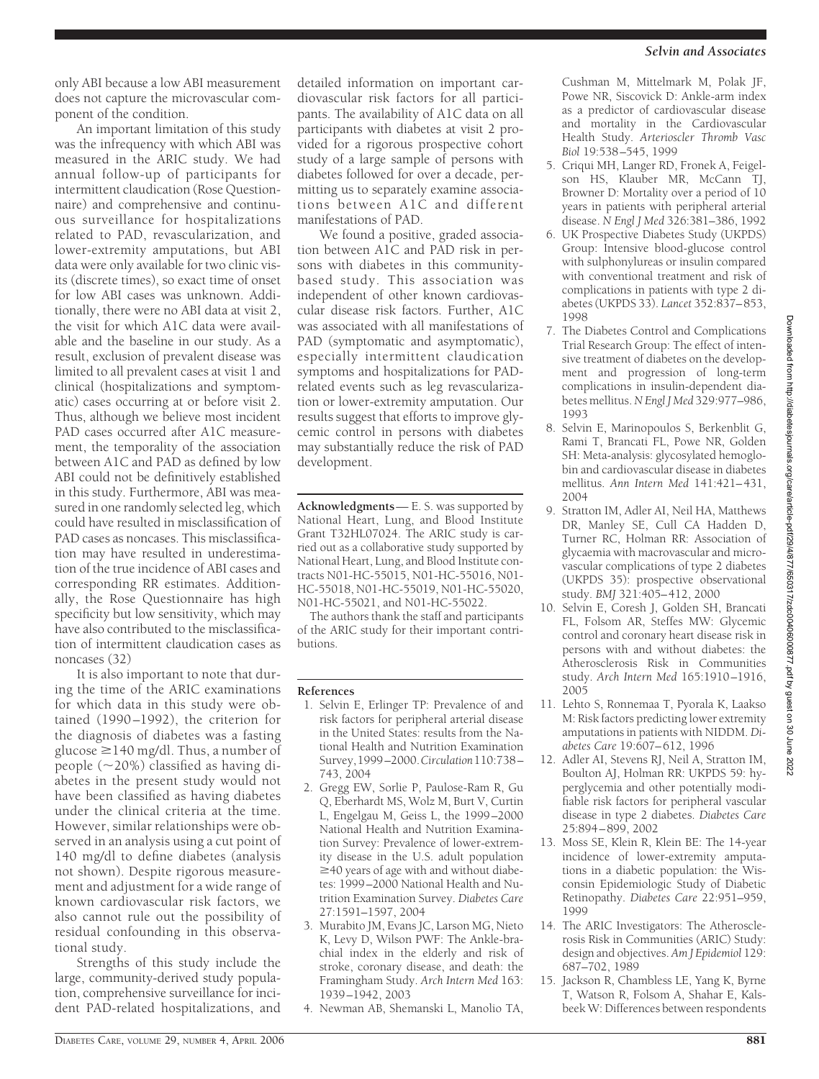only ABI because a low ABI measurement does not capture the microvascular component of the condition.

An important limitation of this study was the infrequency with which ABI was measured in the ARIC study. We had annual follow-up of participants for intermittent claudication (Rose Questionnaire) and comprehensive and continuous surveillance for hospitalizations related to PAD, revascularization, and lower-extremity amputations, but ABI data were only available for two clinic visits (discrete times), so exact time of onset for low ABI cases was unknown. Additionally, there were no ABI data at visit 2, the visit for which A1C data were available and the baseline in our study. As a result, exclusion of prevalent disease was limited to all prevalent cases at visit 1 and clinical (hospitalizations and symptomatic) cases occurring at or before visit 2. Thus, although we believe most incident PAD cases occurred after A1C measurement, the temporality of the association between A1C and PAD as defined by low ABI could not be definitively established in this study. Furthermore, ABI was measured in one randomly selected leg, which could have resulted in misclassification of PAD cases as noncases. This misclassification may have resulted in underestimation of the true incidence of ABI cases and corresponding RR estimates. Additionally, the Rose Questionnaire has high specificity but low sensitivity, which may have also contributed to the misclassification of intermittent claudication cases as noncases (32)

It is also important to note that during the time of the ARIC examinations for which data in this study were obtained (1990–1992), the criterion for the diagnosis of diabetes was a fasting glucose  $\geq$  140 mg/dl. Thus, a number of people  $(\sim 20\%)$  classified as having diabetes in the present study would not have been classified as having diabetes under the clinical criteria at the time. However, similar relationships were observed in an analysis using a cut point of 140 mg/dl to define diabetes (analysis not shown). Despite rigorous measurement and adjustment for a wide range of known cardiovascular risk factors, we also cannot rule out the possibility of residual confounding in this observational study.

Strengths of this study include the large, community-derived study population, comprehensive surveillance for incident PAD-related hospitalizations, and detailed information on important cardiovascular risk factors for all participants. The availability of A1C data on all participants with diabetes at visit 2 provided for a rigorous prospective cohort study of a large sample of persons with diabetes followed for over a decade, permitting us to separately examine associations between A1C and different manifestations of PAD.

We found a positive, graded association between A1C and PAD risk in persons with diabetes in this communitybased study. This association was independent of other known cardiovascular disease risk factors. Further, A1C was associated with all manifestations of PAD (symptomatic and asymptomatic), especially intermittent claudication symptoms and hospitalizations for PADrelated events such as leg revascularization or lower-extremity amputation. Our results suggest that efforts to improve glycemic control in persons with diabetes may substantially reduce the risk of PAD development.

**Acknowledgments**— E. S. was supported by National Heart, Lung, and Blood Institute Grant T32HL07024. The ARIC study is carried out as a collaborative study supported by National Heart, Lung, and Blood Institute contracts N01-HC-55015, N01-HC-55016, N01- HC-55018, N01-HC-55019, N01-HC-55020, N01-HC-55021, and N01-HC-55022.

The authors thank the staff and participants of the ARIC study for their important contributions.

## **References**

- 1. Selvin E, Erlinger TP: Prevalence of and risk factors for peripheral arterial disease in the United States: results from the National Health and Nutrition Examination Survey,1999–2000.*Circulation*110:738– 743, 2004
- 2. Gregg EW, Sorlie P, Paulose-Ram R, Gu Q, Eberhardt MS, Wolz M, Burt V, Curtin L, Engelgau M, Geiss L, the 1999–2000 National Health and Nutrition Examination Survey: Prevalence of lower-extremity disease in the U.S. adult population  $\geq$  40 years of age with and without diabetes: 1999–2000 National Health and Nutrition Examination Survey. *Diabetes Care* 27:1591–1597, 2004
- 3. Murabito JM, Evans JC, Larson MG, Nieto K, Levy D, Wilson PWF: The Ankle-brachial index in the elderly and risk of stroke, coronary disease, and death: the Framingham Study. *Arch Intern Med* 163: 1939–1942, 2003
- 4. Newman AB, Shemanski L, Manolio TA,

Cushman M, Mittelmark M, Polak JF, Powe NR, Siscovick D: Ankle-arm index as a predictor of cardiovascular disease and mortality in the Cardiovascular Health Study. *Arterioscler Thromb Vasc Biol* 19:538–545, 1999

- 5. Criqui MH, Langer RD, Fronek A, Feigelson HS, Klauber MR, McCann TJ, Browner D: Mortality over a period of 10 years in patients with peripheral arterial disease. *N Engl J Med* 326:381–386, 1992
- 6. UK Prospective Diabetes Study (UKPDS) Group: Intensive blood-glucose control with sulphonylureas or insulin compared with conventional treatment and risk of complications in patients with type 2 diabetes (UKPDS 33). *Lancet* 352:837–853, 1998
- 7. The Diabetes Control and Complications Trial Research Group: The effect of intensive treatment of diabetes on the development and progression of long-term complications in insulin-dependent diabetes mellitus.*N Engl J Med* 329:977–986, 1993
- 8. Selvin E, Marinopoulos S, Berkenblit G, Rami T, Brancati FL, Powe NR, Golden SH: Meta-analysis: glycosylated hemoglobin and cardiovascular disease in diabetes mellitus. *Ann Intern Med* 141:421–431, 2004
- 9. Stratton IM, Adler AI, Neil HA, Matthews DR, Manley SE, Cull CA Hadden D, Turner RC, Holman RR: Association of glycaemia with macrovascular and microvascular complications of type 2 diabetes (UKPDS 35): prospective observational study. *BMJ* 321:405–412, 2000
- 10. Selvin E, Coresh J, Golden SH, Brancati FL, Folsom AR, Steffes MW: Glycemic control and coronary heart disease risk in persons with and without diabetes: the Atherosclerosis Risk in Communities study. *Arch Intern Med* 165:1910–1916, 2005
- 11. Lehto S, Ronnemaa T, Pyorala K, Laakso M: Risk factors predicting lower extremity amputations in patients with NIDDM. *Diabetes Care* 19:607–612, 1996
- 12. Adler AI, Stevens RJ, Neil A, Stratton IM, Boulton AJ, Holman RR: UKPDS 59: hyperglycemia and other potentially modifiable risk factors for peripheral vascular disease in type 2 diabetes. *Diabetes Care* 25:894–899, 2002
- 13. Moss SE, Klein R, Klein BE: The 14-year incidence of lower-extremity amputations in a diabetic population: the Wisconsin Epidemiologic Study of Diabetic Retinopathy. *Diabetes Care* 22:951–959, 1999
- 14. The ARIC Investigators: The Atherosclerosis Risk in Communities (ARIC) Study: design and objectives. *Am J Epidemiol* 129: 687–702, 1989
- 15. Jackson R, Chambless LE, Yang K, Byrne T, Watson R, Folsom A, Shahar E, Kalsbeek W: Differences between respondents